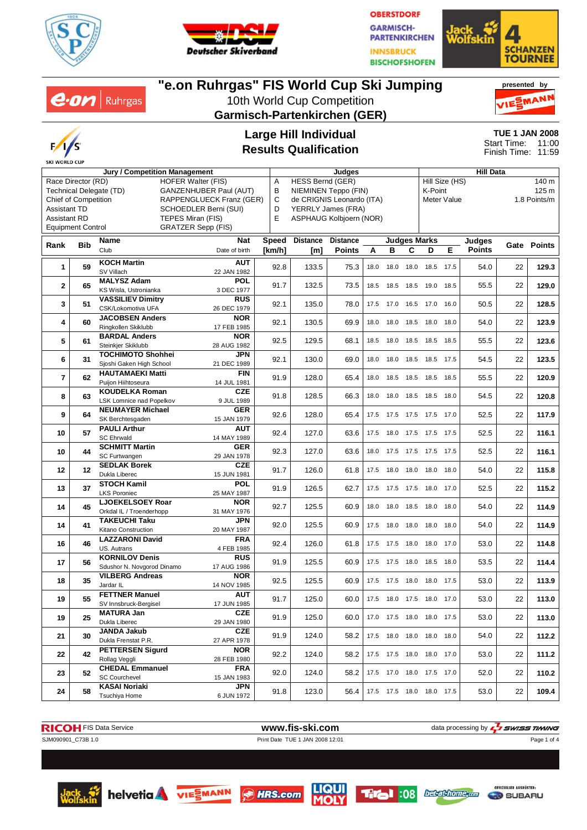

 $e$ *on* | Ruhrgas



**OBERSTDORF GARMISCH-PARTENKIRCHEN INNSBRUCK BISCHOFSHOFEN** 



# **"e.on Ruhrgas" FIS World Cup Ski Jumping**

10th World Cup Competition **Garmisch-Partenkirchen (GER)**





### **Large Hill Individual Results Qualification**

**TUE 1 JAN 2008** 11:00 11:59 Start Time: Finish Time:

| Jury / Competition Management                            |     |                                                      |                           |        | Judges                                        |                 |      |                     |           | <b>Hill Data</b>             |                         |                         |    |                  |  |
|----------------------------------------------------------|-----|------------------------------------------------------|---------------------------|--------|-----------------------------------------------|-----------------|------|---------------------|-----------|------------------------------|-------------------------|-------------------------|----|------------------|--|
| <b>HOFER Walter (FIS)</b><br>Race Director (RD)          |     |                                                      |                           |        | HESS Bernd (GER)<br>Α<br>В                    |                 |      |                     |           |                              | Hill Size (HS)<br>140 m |                         |    |                  |  |
| Technical Delegate (TD)<br><b>GANZENHUBER Paul (AUT)</b> |     |                                                      |                           |        | NIEMINEN Teppo (FIN)                          |                 |      |                     |           | K-Point                      |                         |                         |    | 125 <sub>m</sub> |  |
| <b>Chief of Competition</b><br>RAPPENGLUECK Franz (GER)  |     |                                                      |                           |        | C<br>de CRIGNIS Leonardo (ITA)<br>Meter Value |                 |      |                     |           |                              |                         | 1.8 Points/m            |    |                  |  |
| <b>Assistant TD</b>                                      |     |                                                      | SCHOEDLER Berni (SUI)     | D      | YERRLY James (FRA)                            |                 |      |                     |           |                              |                         |                         |    |                  |  |
| <b>Assistant RD</b>                                      |     |                                                      | TEPES Miran (FIS)         | E      | ASPHAUG Kolbjoern (NOR)                       |                 |      |                     |           |                              |                         |                         |    |                  |  |
| <b>Equipment Control</b>                                 |     |                                                      | GRATZER Sepp (FIS)        |        |                                               |                 |      |                     |           |                              |                         |                         |    |                  |  |
|                                                          |     | Name                                                 | <b>Nat</b>                | Speed  | <b>Distance</b>                               | <b>Distance</b> |      |                     |           | <b>Judges Marks</b>          |                         |                         |    |                  |  |
| Rank                                                     | Bib | Club                                                 | Date of birth             | [km/h] | [m]                                           | <b>Points</b>   | Α    | в                   | C         | D                            | Е                       | Judges<br><b>Points</b> |    | Gate Points      |  |
| $\mathbf{1}$                                             | 59  | <b>KOCH Martin</b><br>SV Villach                     | <b>AUT</b><br>22 JAN 1982 | 92.8   | 133.5                                         | 75.3            | 18.0 | 18.0                | 18.0      | 18.5                         | 17.5                    | 54.0                    | 22 | 129.3            |  |
| $\mathbf{2}$                                             | 65  | <b>MALYSZ Adam</b><br>KS Wisla, Ustronianka          | <b>POL</b><br>3 DEC 1977  | 91.7   | 132.5                                         | 73.5            | 18.5 | 18.5                | 18.5      | 19.0                         | 18.5                    | 55.5                    | 22 | 129.0            |  |
| 3                                                        | 51  | <b>VASSILIEV Dimitry</b><br>CSK/Lokomotiva UFA       | <b>RUS</b><br>26 DEC 1979 | 92.1   | 135.0                                         | 78.0            |      | 17.5 17.0           |           | 16.5 17.0                    | 16.0                    | 50.5                    | 22 | 128.5            |  |
|                                                          |     | <b>JACOBSEN Anders</b>                               | <b>NOR</b>                |        |                                               |                 |      |                     |           |                              |                         |                         |    |                  |  |
| 4                                                        | 60  | Ringkollen Skiklubb                                  | 17 FEB 1985               | 92.1   | 130.5                                         | 69.9            | 18.0 | 18.0                |           | 18.5 18.0                    | 18.0                    | 54.0                    | 22 | 123.9            |  |
|                                                          |     | <b>BARDAL Anders</b>                                 | <b>NOR</b>                |        |                                               |                 |      |                     |           |                              |                         |                         |    |                  |  |
| 5                                                        | 61  | Steinkjer Skiklubb                                   | 28 AUG 1982               | 92.5   | 129.5                                         | 68.1            | 18.5 | 18.0                |           | 18.5 18.5                    | 18.5                    | 55.5                    | 22 | 123.6            |  |
|                                                          |     | <b>TOCHIMOTO Shohhei</b>                             | JPN                       |        |                                               |                 |      |                     |           |                              |                         |                         |    |                  |  |
| 6                                                        | 31  | Sjoshi Gaken High School                             | 21 DEC 1989               | 92.1   | 130.0                                         | 69.0            | 18.0 | 18.0                | 18.5      | 18.5                         | 17.5                    | 54.5                    | 22 | 123.5            |  |
| $\overline{7}$                                           | 62  | <b>HAUTAMAEKI Matti</b><br>Puijon Hiihtoseura        | <b>FIN</b><br>14 JUL 1981 | 91.9   | 128.0                                         | 65.4            | 18.0 | 18.5                | 18.5      | 18.5                         | 18.5                    | 55.5                    | 22 | 120.9            |  |
| 8                                                        | 63  | <b>KOUDELKA Roman</b><br>LSK Lomnice nad Popelkov    | <b>CZE</b><br>9 JUL 1989  | 91.8   | 128.5                                         | 66.3            | 18.0 | 18.0                |           | 18.5 18.5                    | 18.0                    | 54.5                    | 22 | 120.8            |  |
|                                                          |     | <b>NEUMAYER Michael</b>                              | <b>GER</b>                |        |                                               |                 |      |                     |           |                              |                         |                         |    |                  |  |
| 9                                                        | 64  | SK Berchtesgaden                                     | 15 JAN 1979               | 92.6   | 128.0                                         | 65.4            | 17.5 | 17.5 17.5 17.5      |           |                              | 17.0                    | 52.5                    | 22 | 117.9            |  |
|                                                          |     | <b>PAULI Arthur</b>                                  | <b>AUT</b><br>92.4        |        |                                               |                 |      |                     |           |                              |                         |                         |    |                  |  |
| 10                                                       | 57  | <b>SC Ehrwald</b>                                    | 14 MAY 1989               |        | 127.0                                         | 63.6            |      |                     |           | 17.5  18.0  17.5  17.5  17.5 |                         | 52.5                    | 22 | 116.1            |  |
|                                                          |     | <b>SCHMITT Martin</b>                                | GER                       | 92.3   |                                               |                 |      |                     |           |                              |                         |                         |    |                  |  |
| 10                                                       | 44  | SC Furtwangen                                        | 29 JAN 1978               |        | 127.0                                         | 63.6            | 18.0 | 17.5                |           | 17.5 17.5                    | 17.5                    | 52.5                    | 22 | 116.1            |  |
|                                                          |     | <b>SEDLAK Borek</b>                                  | <b>CZE</b>                |        |                                               |                 |      |                     |           |                              |                         | 54.0                    |    |                  |  |
| 12                                                       | 12  | Dukla Liberec                                        | 15 JUN 1981               | 91.7   | 126.0                                         | 61.8            |      | 17.5 18.0           |           | 18.0 18.0                    | 18.0                    |                         | 22 | 115.8            |  |
| 13                                                       | 37  | <b>STOCH Kamil</b>                                   | <b>POL</b>                | 91.9   |                                               | 62.7            |      | 17.5 17.5 17.5 18.0 |           |                              | 17.0                    | 52.5                    | 22 | 115.2            |  |
|                                                          |     | <b>LKS Poroniec</b>                                  | 25 MAY 1987               |        | 126.5                                         |                 |      |                     |           |                              |                         |                         |    |                  |  |
| 14                                                       | 45  | <b>LJOEKELSOEY Roar</b>                              | <b>NOR</b>                | 92.7   | 125.5                                         | 60.9            | 18.0 | 18.0                | 18.5 18.0 |                              | 18.0                    | 54.0                    | 22 | 114.9            |  |
|                                                          |     | Orkdal IL / Troenderhopp                             | 31 MAY 1976               |        |                                               |                 |      |                     |           |                              |                         |                         |    |                  |  |
| 14                                                       | 41  | <b>TAKEUCHI Taku</b>                                 | JPN                       | 92.0   | 125.5                                         | 60.9            | 17.5 | 18.0                | 18.0      | 18.0                         | 18.0                    | 54.0                    | 22 | 114.9            |  |
|                                                          |     | Kitano Construction                                  | 20 MAY 1987               |        |                                               |                 |      |                     |           |                              |                         |                         |    |                  |  |
| 16                                                       | 46  | <b>LAZZARONI David</b>                               | <b>FRA</b>                | 92.4   | 126.0                                         | 61.8            | 17.5 | 17.5                | 18.0      | 18.0                         | 17.0                    | 53.0                    | 22 | 114.8            |  |
|                                                          |     | US. Autrans                                          | 4 FEB 1985                |        |                                               |                 |      |                     |           |                              |                         |                         |    |                  |  |
| 17                                                       | 56  | <b>KORNILOV Denis</b>                                | <b>RUS</b>                | 91.9   | 125.5                                         | 60.9            | 17.5 | 17.5                |           | 18.0 18.5                    | 18.0                    | 53.5                    | 22 | 114.4            |  |
|                                                          |     | Sdushor N. Novgorod Dinamo<br><b>VILBERG Andreas</b> | 17 AUG 1986               |        |                                               |                 |      |                     |           |                              |                         |                         |    |                  |  |
| 18                                                       | 35  | Jardar IL                                            | <b>NOR</b><br>14 NOV 1985 | 92.5   | 125.5                                         | 60.9            | 17.5 | 17.5                | 18.0      | 18.0                         | 17.5                    | 53.0                    | 22 | 113.9            |  |
| 19                                                       | 55  | <b>FETTNER Manuel</b><br>SV Innsbruck-Bergisel       | AUT<br>17 JUN 1985        | 91.7   | 125.0                                         | 60.0            |      |                     |           | 17.5  18.0  17.5  18.0  17.0 |                         | 53.0                    | 22 | 113.0            |  |
| 19                                                       | 25  | <b>MATURA Jan</b><br>Dukla Liberec                   | <b>CZE</b><br>29 JAN 1980 | 91.9   | 125.0                                         | 60.0            |      |                     |           | 17.0  17.5  18.0  18.0  17.5 |                         | 53.0                    | 22 | 113.0            |  |
| 21                                                       | 30  | <b>JANDA Jakub</b>                                   | <b>CZE</b>                | 91.9   | 124.0                                         | 58.2            |      |                     |           | 17.5 18.0 18.0 18.0 18.0     |                         | 54.0                    | 22 | 112.2            |  |
|                                                          |     | Dukla Frenstat P.R.                                  | 27 APR 1978               |        |                                               |                 |      |                     |           |                              |                         |                         |    |                  |  |
| 22                                                       | 42  | <b>PETTERSEN Sigurd</b><br>Rollag Veggli             | <b>NOR</b><br>28 FEB 1980 | 92.2   | 124.0                                         | 58.2            |      |                     |           | 17.5 17.5 18.0 18.0 17.0     |                         | 53.0                    | 22 | 111.2            |  |
|                                                          |     | <b>CHEDAL Emmanuel</b>                               | <b>FRA</b>                |        |                                               |                 |      |                     |           |                              |                         |                         |    |                  |  |
| 23                                                       | 52  | <b>SC Courchevel</b>                                 | 15 JAN 1983               | 92.0   | 124.0                                         | 58.2            |      |                     |           | 17.5 17.0 18.0 17.5 17.0     |                         | 52.0                    | 22 | 110.2            |  |
|                                                          |     | <b>KASAI Noriaki</b>                                 | JPN                       |        |                                               |                 |      |                     |           |                              |                         |                         |    |                  |  |
| 24                                                       | 58  | Tsuchiya Home                                        | 6 JUN 1972                | 91.8   | 123.0                                         | 56.4            |      |                     |           | 17.5 17.5 18.0 18.0 17.5     |                         | 53.0                    | 22 | 109.4            |  |



Page 1 of 4











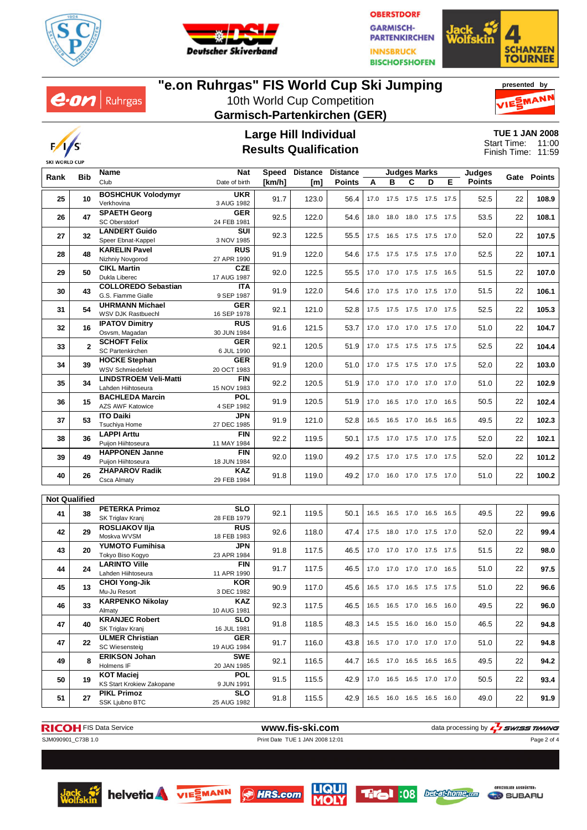

 $e$ *on* | Ruhrgas



**OBERSTDORF GARMISCH-PARTENKIRCHEN INNSBRUCK BISCHOFSHOFEN** 



## **"e.on Ruhrgas" FIS World Cup Ski Jumping**

10th World Cup Competition **Garmisch-Partenkirchen (GER)**





#### **Large Hill Individual Results Qualification**

**TUE 1 JAN 2008** 11:00 11:59 Start Time: Finish Time:

| <b>Bib</b> |                      | Name                                                  | <b>Nat</b>                | Speed  | <b>Distance</b> | <b>Distance</b> | Judges Marks |                              |                     |   | Judges |        |    |             |
|------------|----------------------|-------------------------------------------------------|---------------------------|--------|-----------------|-----------------|--------------|------------------------------|---------------------|---|--------|--------|----|-------------|
| Rank       |                      | Club                                                  | Date of birth             | [km/h] | [m]             | <b>Points</b>   | A            | в                            | C                   | D | Е      | Points |    | Gate Points |
| 25         | 10                   | <b>BOSHCHUK Volodymyr</b><br>Verkhovina               | <b>UKR</b><br>3 AUG 1982  | 91.7   | 123.0           | 56.4            | 17.0         | 17.5 17.5 17.5 17.5          |                     |   |        | 52.5   | 22 | 108.9       |
| 26         | 47                   | <b>SPAETH Georg</b><br><b>SC Oberstdorf</b>           | <b>GER</b><br>24 FEB 1981 | 92.5   | 122.0           | 54.6            | 18.0         | 18.0                         | 18.0 17.5           |   | 17.5   | 53.5   | 22 | 108.1       |
| 27         | 32                   | <b>LANDERT Guido</b><br>Speer Ebnat-Kappel            | SUI<br>3 NOV 1985         | 92.3   | 122.5           | 55.5            |              | 17.5  16.5  17.5  17.5  17.0 |                     |   |        | 52.0   | 22 | 107.5       |
| 28         | 48                   | <b>KARELIN Pavel</b><br>Nizhniy Novgorod              | <b>RUS</b><br>27 APR 1990 | 91.9   | 122.0           | 54.6            |              | 17.5 17.5 17.5 17.5 17.0     |                     |   |        | 52.5   | 22 | 107.1       |
| 29         | 50                   | <b>CIKL Martin</b><br>Dukla Liberec                   | CZE<br>17 AUG 1987        | 92.0   | 122.5           | 55.5            |              | 17.0 17.0 17.5 17.5 16.5     |                     |   |        | 51.5   | 22 | 107.0       |
| 30         | 43                   | <b>COLLOREDO Sebastian</b><br>G.S. Fiamme Gialle      | <b>ITA</b><br>9 SEP 1987  | 91.9   | 122.0           | 54.6            |              | 17.0 17.5 17.0 17.5 17.0     |                     |   |        | 51.5   | 22 | 106.1       |
| 31         | 54                   | <b>UHRMANN Michael</b><br>WSV DJK Rastbuechl          | <b>GER</b><br>16 SEP 1978 | 92.1   | 121.0           | 52.8            |              | 17.5 17.5 17.5 17.0 17.5     |                     |   |        | 52.5   | 22 | 105.3       |
| 32         | 16                   | <b>IPATOV Dimitry</b><br>Osvsm, Magadan               | <b>RUS</b><br>30 JUN 1984 | 91.6   | 121.5           | 53.7            |              | 17.0 17.0 17.0 17.5 17.0     |                     |   |        | 51.0   | 22 | 104.7       |
| 33         | $\mathbf{2}$         | <b>SCHOFT Felix</b><br><b>SC Partenkirchen</b>        | <b>GER</b><br>6 JUL 1990  | 92.1   | 120.5           | 51.9            |              | 17.0 17.5 17.5 17.5 17.5     |                     |   |        | 52.5   | 22 | 104.4       |
| 34         | 39                   | <b>HOCKE Stephan</b><br><b>WSV Schmiedefeld</b>       | <b>GER</b><br>20 OCT 1983 | 91.9   | 120.0           | 51.0            | 17.0         | 17.5 17.5 17.0 17.5          |                     |   |        | 52.0   | 22 | 103.0       |
| 35         | 34                   | <b>LINDSTROEM Veli-Matti</b><br>Lahden Hiihtoseura    | <b>FIN</b><br>15 NOV 1983 | 92.2   | 120.5           | 51.9            |              | 17.0 17.0 17.0 17.0 17.0     |                     |   |        | 51.0   | 22 | 102.9       |
| 36         | 15                   | <b>BACHLEDA Marcin</b><br><b>AZS AWF Katowice</b>     | POL<br>4 SEP 1982         | 91.9   | 120.5           | 51.9            | 17.0         |                              | 16.5 17.0 17.0 16.5 |   |        | 50.5   | 22 | 102.4       |
| 37         | 53                   | <b>ITO Daiki</b><br>Tsuchiva Home                     | JPN<br>27 DEC 1985        | 91.9   | 121.0           | 52.8            |              | 16.5 16.5 17.0 16.5 16.5     |                     |   |        | 49.5   | 22 | 102.3       |
| 38         | 36                   | <b>LAPPI Arttu</b><br>Puijon Hiihtoseura              | <b>FIN</b><br>11 MAY 1984 | 92.2   | 119.5           | 50.1            |              | 17.5 17.0 17.5 17.0 17.5     |                     |   |        | 52.0   | 22 | 102.1       |
| 39         | 49                   | <b>HAPPONEN Janne</b><br>Puijon Hiihtoseura           | <b>FIN</b><br>18 JUN 1984 | 92.0   | 119.0           | 49.2            |              | 17.5 17.0 17.5 17.0 17.5     |                     |   |        | 52.0   | 22 | 101.2       |
| 40         | 26                   | <b>ZHAPAROV Radik</b><br>Csca Almaty                  | KAZ<br>29 FEB 1984        | 91.8   | 119.0           | 49.2            |              | 17.0  16.0  17.0  17.5  17.0 |                     |   |        | 51.0   | 22 | 100.2       |
|            | <b>Not Qualified</b> |                                                       |                           |        |                 |                 |              |                              |                     |   |        |        |    |             |
| 41         | 38                   | <b>PETERKA Primoz</b><br>SK Triglav Kranj             | <b>SLO</b><br>28 FEB 1979 | 92.1   | 119.5           | 50.1            |              | 16.5 16.5 17.0 16.5          |                     |   | 16.5   | 49.5   | 22 | 99.6        |
| 42         | 29                   | ROSLIAKOV II ja<br>Moskva WVSM                        | <b>RUS</b><br>18 FEB 1983 | 92.6   | 118.0           | 47.4            |              | 17.5  18.0  17.0  17.5  17.0 |                     |   |        | 52.0   | 22 | 99.4        |
| 43         | 20                   | <b>YUMOTO Fumihisa</b><br>Tokyo Biso Kogyo            | JPN<br>23 APR 1984        | 91.8   | 117.5           | 46.5            |              | 17.0 17.0 17.0 17.5 17.5     |                     |   |        | 51.5   | 22 | 98.0        |
| 44         | 24                   | <b>LARINTO Ville</b><br>Lahden Hiihtoseura            | <b>FIN</b><br>11 APR 1990 | 91.7   | 117.5           | 46.5            | 17.0         |                              | 17.0 17.0 17.0 16.5 |   |        | 51.0   | 22 | 97.5        |
| 45         | 13                   | <b>CHOI Yong-Jik</b><br>Mu-Ju Resort                  | <b>KOR</b><br>3 DEC 1982  | 90.9   | 117.0           | 45.6            |              | 16.5 17.0 16.5 17.5 17.5     |                     |   |        | 51.0   | 22 | 96.6        |
| 46         | 33                   | <b>KARPENKO Nikolay</b><br>Almaty                     | <b>KAZ</b><br>10 AUG 1981 | 92.3   | 117.5           | 46.5            |              | 16.5 16.5 17.0 16.5          |                     |   | 16.0   | 49.5   | 22 | 96.0        |
| 47         | 40                   | <b>KRANJEC Robert</b><br>SK Triglav Kranj             | <b>SLO</b><br>16 JUL 1981 | 91.8   | 118.5           | 48.3            |              | 14.5 15.5 16.0 16.0 15.0     |                     |   |        | 46.5   | 22 | 94.8        |
| 47         | 22                   | <b>ULMER Christian</b><br><b>SC Wiesensteig</b>       | <b>GER</b><br>19 AUG 1984 | 91.7   | 116.0           | 43.8            |              | 16.5 17.0 17.0 17.0 17.0     |                     |   |        | 51.0   | 22 | 94.8        |
| 49         | 8                    | <b>ERIKSON Johan</b><br>Holmens IF                    | <b>SWE</b><br>20 JAN 1985 | 92.1   | 116.5           | 44.7            |              | 16.5 17.0 16.5 16.5 16.5     |                     |   |        | 49.5   | 22 | 94.2        |
| 50         | 19                   | <b>KOT Maciej</b><br><b>KS Start Krokiew Zakopane</b> | <b>POL</b><br>9 JUN 1991  | 91.5   | 115.5           | 42.9            |              | 17.0  16.5  16.5  17.0  17.0 |                     |   |        | 50.5   | 22 | 93.4        |
| 51         | 27                   | <b>PIKL Primoz</b><br>SSK Ljubno BTC                  | <b>SLO</b><br>25 AUG 1982 | 91.8   | 115.5           | 42.9            |              | 16.5 16.0 16.5 16.5 16.0     |                     |   |        | 49.0   | 22 | 91.9        |





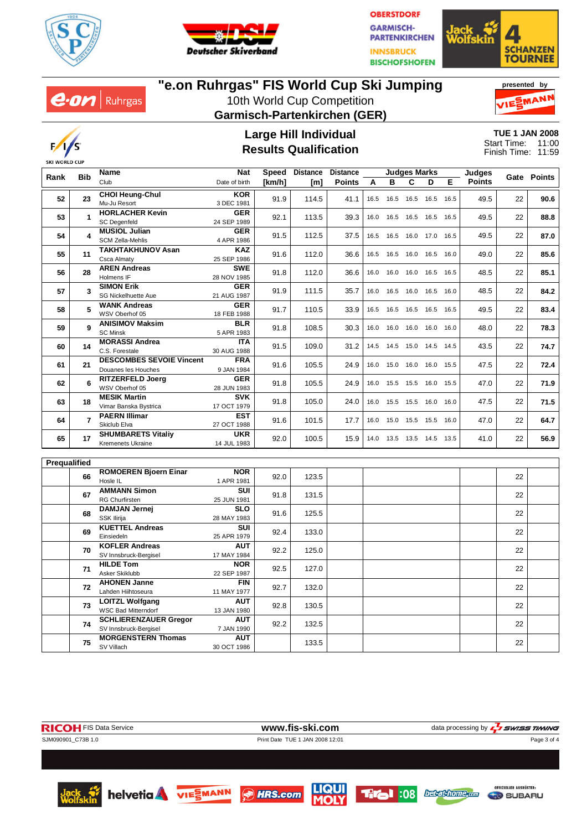

 $e$ *on* | Ruhrgas



**OBERSTDORF GARMISCH-PARTENKIRCHEN INNSBRUCK BISCHOFSHOFEN** 



## **"e.on Ruhrgas" FIS World Cup Ski Jumping**

10th World Cup Competition **Garmisch-Partenkirchen (GER)**





#### **Large Hill Individual Results Qualification**

**TUE 1 JAN 2008** 11:00 11:59 Start Time: Finish Time:

|              |                | Name                                                 | Speed Distance<br>Nat            |        | <b>Distance</b><br><b>Judges Marks</b> |               |      |                | <b>Judges</b>                |      |      |               |      |             |
|--------------|----------------|------------------------------------------------------|----------------------------------|--------|----------------------------------------|---------------|------|----------------|------------------------------|------|------|---------------|------|-------------|
| Rank         | <b>Bib</b>     | Club                                                 | Date of birth                    | [km/h] | [m]                                    | <b>Points</b> | A    | в              | C                            | D    | Е    | <b>Points</b> |      | Gate Points |
|              |                | <b>CHOI Heung-Chul</b>                               | <b>KOR</b>                       |        |                                        |               |      |                |                              |      |      |               |      |             |
| 52           | 23             | Mu-Ju Resort                                         | 3 DEC 1981                       | 91.9   | 114.5                                  | 41.1          | 16.5 | 16.5           | 16.5                         | 16.5 | 16.5 | 49.5          | 22   | 90.6        |
| 53           | 1              | <b>HORLACHER Kevin</b>                               | <b>GER</b>                       | 92.1   | 113.5                                  | 39.3          | 16.0 |                | 16.5 16.5 16.5 16.5          |      |      | 49.5          | 22   | 88.8        |
|              |                | <b>SC Degenfeld</b>                                  | 24 SEP 1989                      |        |                                        |               |      |                |                              |      |      |               |      |             |
| 54           | 4              | <b>MUSIOL Julian</b>                                 | <b>GER</b>                       | 91.5   | 112.5                                  | 37.5          | 16.5 |                | 16.5 16.0 17.0 16.5          |      |      | 49.5          | 22   | 87.0        |
|              |                | <b>SCM Zella-Mehlis</b>                              | 4 APR 1986                       |        |                                        |               |      |                |                              |      |      |               |      |             |
| 55           | 11             | <b>TAKHTAKHUNOV Asan</b>                             | <b>KAZ</b>                       | 91.6   | 112.0                                  | 36.6          |      |                | 16.5  16.5  16.0  16.5  16.0 |      |      | 49.0          | 22   | 85.6        |
|              |                | Csca Almaty                                          | 25 SEP 1986                      |        |                                        |               |      |                |                              |      |      |               |      |             |
| 56           | 28             | <b>AREN Andreas</b><br>Holmens IF                    | <b>SWE</b><br>28 NOV 1985        | 91.8   | 112.0                                  | 36.6          | 16.0 | 16.0           | 16.0 16.5                    |      | 16.5 | 48.5          | 22   | 85.1        |
|              |                | <b>SIMON Erik</b>                                    | <b>GER</b>                       |        |                                        |               |      |                |                              |      |      |               |      |             |
| 57           | 3              | <b>SG Nickelhuette Aue</b>                           | 21 AUG 1987                      | 91.9   | 111.5                                  | 35.7          | 16.0 |                | 16.5 16.0 16.5               |      | 16.0 | 48.5          | 22   | 84.2        |
|              |                | <b>WANK Andreas</b>                                  | <b>GER</b>                       |        |                                        |               |      |                |                              |      |      |               |      |             |
| 58           | 5              | WSV Oberhof 05                                       | 18 FEB 1988                      | 91.7   | 110.5                                  | 33.9          | 16.5 | 16.5           | 16.5 16.5                    |      | 16.5 | 49.5          | 22   | 83.4        |
| 59           | 9              | <b>ANISIMOV Maksim</b>                               | <b>BLR</b>                       | 91.8   | 108.5                                  | 30.3          | 16.0 |                |                              |      | 16.0 | 48.0          | 22   | 78.3        |
|              |                | <b>SC Minsk</b>                                      | 5 APR 1983                       |        |                                        |               |      | 16.0           | 16.0 16.0                    |      |      |               |      |             |
| 60           | 14             | <b>MORASSI Andrea</b>                                | <b>ITA</b>                       | 91.5   | 109.0                                  | 31.2          | 14.5 | 14.5 15.0 14.5 |                              |      | 14.5 | 43.5          | 22   | 74.7        |
|              | C.S. Forestale |                                                      | 30 AUG 1988                      |        |                                        |               |      |                |                              |      |      |               |      |             |
| 61           | 21             | <b>DESCOMBES SEVOIE Vincent</b>                      | <b>FRA</b><br>91.6<br>9 JAN 1984 | 105.5  | 24.9                                   | 16.0          |      | 15.0 16.0 16.0 |                              | 15.5 | 47.5 | 22            | 72.4 |             |
|              |                | Douanes les Houches                                  |                                  |        |                                        |               |      |                |                              |      |      |               |      |             |
| 62           | 6              | <b>RITZERFELD Joerg</b><br>WSV Oberhof 05            | <b>GER</b><br>28 JUN 1983        | 91.8   | 105.5                                  | 24.9          | 16.0 |                | 15.5 15.5 16.0 15.5          |      |      | 47.0          | 22   | 71.9        |
|              |                | <b>MESIK Martin</b>                                  | <b>SVK</b>                       |        |                                        |               |      |                |                              |      |      |               |      |             |
| 63           | 18             | Vimar Banska Bystrica                                | 17 OCT 1979                      | 91.8   | 105.0                                  | 24.0          | 16.0 |                | 15.5 15.5 16.0               |      | 16.0 | 47.5          | 22   | 71.5        |
|              |                | <b>PAERN Illimar</b>                                 | <b>EST</b>                       |        |                                        |               |      |                |                              |      |      |               |      |             |
| 64           | $\overline{7}$ | Skiclub Elva                                         | 27 OCT 1988                      | 91.6   | 101.5                                  | 17.7          | 16.0 | 15.0           | 15.5 15.5                    |      | 16.0 | 47.0          | 22   | 64.7        |
|              | 17             | <b>SHUMBARETS Vitaliv</b>                            | <b>UKR</b>                       | 92.0   | 100.5                                  | 15.9          |      |                | 14.0  13.5  13.5  14.5  13.5 |      |      | 41.0          | 22   |             |
| 65           |                | Kremenets Ukraine                                    | 14 JUL 1983                      |        |                                        |               |      |                |                              |      |      |               |      | 56.9        |
|              |                |                                                      |                                  |        |                                        |               |      |                |                              |      |      |               |      |             |
| Prequalified |                |                                                      |                                  |        |                                        |               |      |                |                              |      |      |               |      |             |
|              | 66             | <b>ROMOEREN Bjoern Einar</b>                         | <b>NOR</b>                       | 92.0   | 123.5                                  |               |      |                |                              |      |      |               | 22   |             |
|              |                | Hosle IL                                             | 1 APR 1981                       |        |                                        |               |      |                |                              |      |      |               |      |             |
|              | 67             | <b>AMMANN Simon</b><br><b>RG Churfirsten</b>         | SUI<br>25 JUN 1981               | 91.8   | 131.5                                  |               |      |                |                              |      |      |               | 22   |             |
|              |                | <b>DAMJAN Jernej</b>                                 | <b>SLO</b>                       |        |                                        |               |      |                |                              |      |      |               |      |             |
|              | 68             | SSK Ilirija                                          | 28 MAY 1983                      | 91.6   | 125.5                                  |               |      |                |                              |      |      |               | 22   |             |
|              |                | <b>KUETTEL Andreas</b>                               | SUI                              |        |                                        |               |      |                |                              |      |      |               |      |             |
|              | 69             | Einsiedeln                                           | 25 APR 1979                      | 92.4   | 133.0                                  |               |      |                |                              |      |      |               | 22   |             |
|              |                | <b>KOFLER Andreas</b>                                | <b>AUT</b>                       |        |                                        |               |      |                |                              |      |      |               |      |             |
|              | 70             | SV Innsbruck-Bergisel                                | 17 MAY 1984                      | 92.2   | 125.0                                  |               |      |                |                              |      |      |               | 22   |             |
|              | 71             | <b>HILDE Tom</b>                                     | <b>NOR</b>                       | 92.5   | 127.0                                  |               |      |                |                              |      |      |               | 22   |             |
|              |                | Asker Skiklubb                                       | 22 SEP 1987                      |        |                                        |               |      |                |                              |      |      |               |      |             |
|              | 72             | <b>AHONEN Janne</b>                                  | <b>FIN</b>                       | 92.7   | 132.0                                  |               |      |                |                              |      |      |               | 22   |             |
|              |                | Lahden Hiihtoseura                                   | 11 MAY 1977                      |        |                                        |               |      |                |                              |      |      |               |      |             |
|              | 73             | <b>LOITZL Wolfgang</b><br><b>WSC Bad Mitterndorf</b> | <b>AUT</b><br>13 JAN 1980        | 92.8   | 130.5                                  |               |      |                |                              |      |      |               | 22   |             |
|              |                | <b>SCHLIERENZAUER Gregor</b>                         | <b>AUT</b>                       |        |                                        |               |      |                |                              |      |      |               |      |             |
|              | 74             | SV Innsbruck-Bergisel                                | 7 JAN 1990                       | 92.2   | 132.5                                  |               |      |                |                              |      |      |               | 22   |             |
|              |                | <b>MORGENSTERN Thomas</b>                            | <b>AUT</b>                       |        |                                        |               |      |                |                              |      |      |               |      |             |
|              | 75             | SV Villach                                           | 30 OCT 1986                      |        | 133.5                                  |               |      |                |                              |      |      |               | 22   |             |